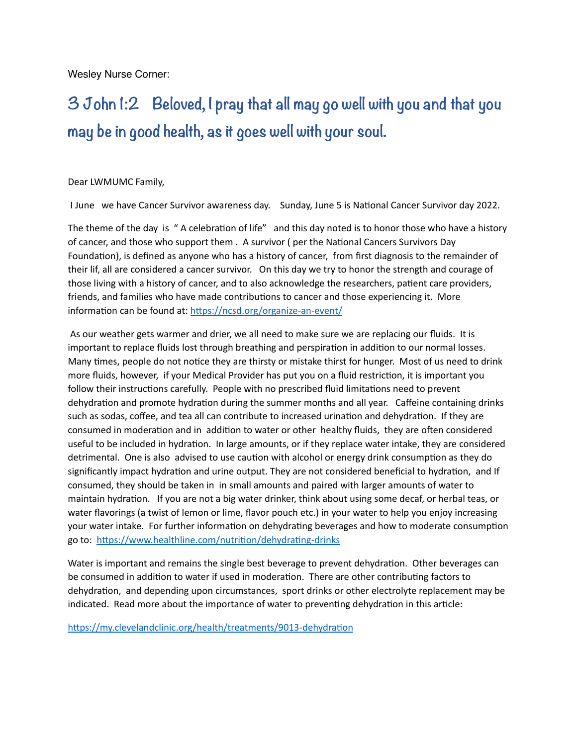Wesley Nurse Corner:

## **3 John 1:2 Beloved, I pray that all may go well with you and that you may be in good health, as it goes well with your soul.**

## Dear LWMUMC Family,

I June we have Cancer Survivor awareness day. Sunday, June 5 is National Cancer Survivor day 2022.

The theme of the day is " A celebration of life" and this day noted is to honor those who have a history of cancer, and those who support them . A survivor ( per the National Cancers Survivors Day Foundation), is defined as anyone who has a history of cancer, from first diagnosis to the remainder of their lif, all are considered a cancer survivor. On this day we try to honor the strength and courage of those living with a history of cancer, and to also acknowledge the researchers, patient care providers, friends, and families who have made contributions to cancer and those experiencing it. More information can be found at:<https://ncsd.org/organize-an-event/>

 As our weather gets warmer and drier, we all need to make sure we are replacing our fluids. It is important to replace fluids lost through breathing and perspiration in addition to our normal losses. Many times, people do not notice they are thirsty or mistake thirst for hunger. Most of us need to drink more fluids, however, if your Medical Provider has put you on a fluid restriction, it is important you follow their instructions carefully. People with no prescribed fluid limitations need to prevent dehydration and promote hydration during the summer months and all year. Caffeine containing drinks such as sodas, coffee, and tea all can contribute to increased urination and dehydration. If they are consumed in moderation and in addition to water or other healthy fluids, they are often considered useful to be included in hydration. In large amounts, or if they replace water intake, they are considered detrimental. One is also advised to use caution with alcohol or energy drink consumption as they do significantly impact hydration and urine output. They are not considered beneficial to hydration, and If consumed, they should be taken in in small amounts and paired with larger amounts of water to maintain hydration. If you are not a big water drinker, think about using some decaf, or herbal teas, or water flavorings (a twist of lemon or lime, flavor pouch etc.) in your water to help you enjoy increasing your water intake. For further information on dehydrating beverages and how to moderate consumption go to: <https://www.healthline.com/nutrition/dehydrating-drinks>

Water is important and remains the single best beverage to prevent dehydration. Other beverages can be consumed in addition to water if used in moderation. There are other contributing factors to dehydration, and depending upon circumstances, sport drinks or other electrolyte replacement may be indicated. Read more about the importance of water to preventing dehydration in this article:

<https://my.clevelandclinic.org/health/treatments/9013-dehydration>